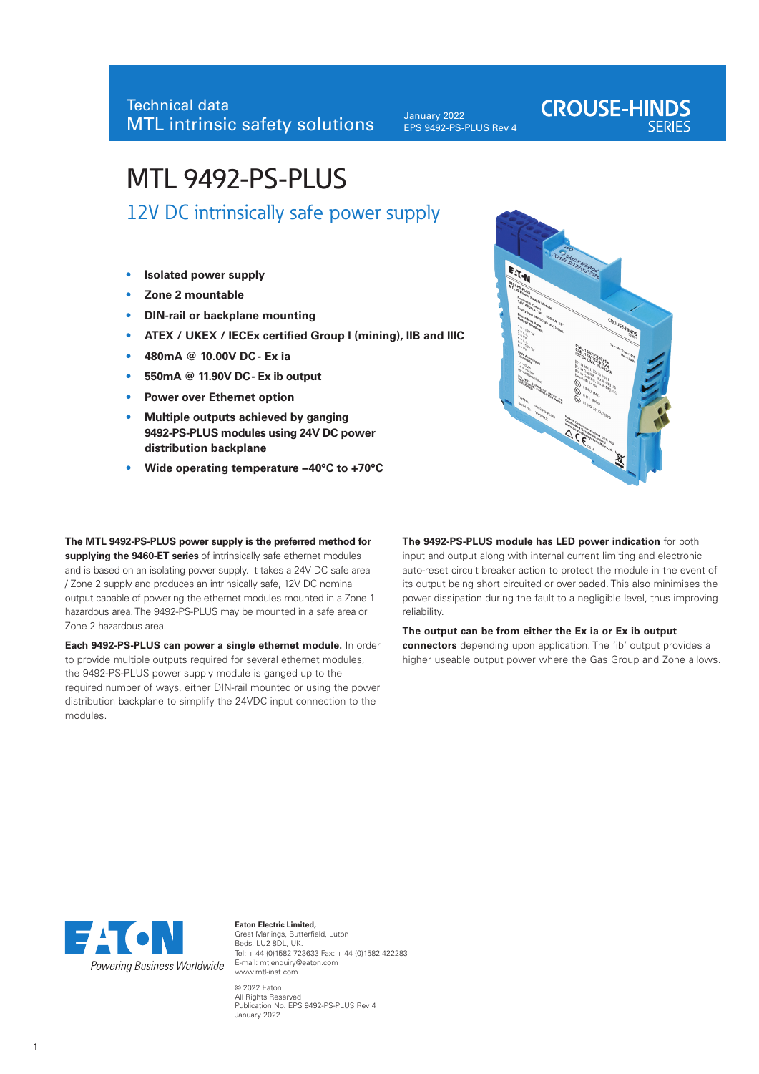January 2022 EPS 9492-PS-PLUS Rev 4

# MTL 9492-PS-PLUS

12V DC intrinsically safe power supply

- **• Isolated power supply**
- **• Zone 2 mountable**
- **• DIN-rail or backplane mounting**
- **• ATEX / UKEX / IECEx certified Group I (mining), IIB and IIIC**
- **• 480mA @ 10.00V DC Ex ia**
- **• 550mA @ 11.90V DC Ex ib output**
- **• Power over Ethernet option**
- **• Multiple outputs achieved by ganging 9492-PS-PLUS modules using 24V DC power distribution backplane**
- **• Wide operating temperature −40°C to +70°C**

E.T.N

**CROUSE-HINDS** 

**The MTL 9492-PS-PLUS power supply is the preferred method for supplying the 9460-ET series** of intrinsically safe ethernet modules and is based on an isolating power supply. It takes a 24V DC safe area / Zone 2 supply and produces an intrinsically safe, 12V DC nominal output capable of powering the ethernet modules mounted in a Zone 1 hazardous area. The 9492-PS-PLUS may be mounted in a safe area or Zone 2 hazardous area.

**Each 9492-PS-PLUS can power a single ethernet module.** In order to provide multiple outputs required for several ethernet modules, the 9492-PS-PLUS power supply module is ganged up to the required number of ways, either DIN-rail mounted or using the power distribution backplane to simplify the 24VDC input connection to the modules.

**The 9492-PS-PLUS module has LED power indication** for both input and output along with internal current limiting and electronic auto-reset circuit breaker action to protect the module in the event of its output being short circuited or overloaded. This also minimises the power dissipation during the fault to a negligible level, thus improving reliability.

**The output can be from either the Ex ia or Ex ib output connectors** depending upon application. The 'ib' output provides a higher useable output power where the Gas Group and Zone allows.



**Eaton Electric Limited,** Great Marlings, Butterfield, Luton Beds, LU2 8DL, UK. Tel: + 44 (0)1582 723633 Fax: + 44 (0)1582 422283 E-mail: mtlenquiry@eaton.com www.mtl-inst.com © 2022 Eaton All Rights Reserved Publication No. EPS 9492-PS-PLUS Rev 4

January 2022